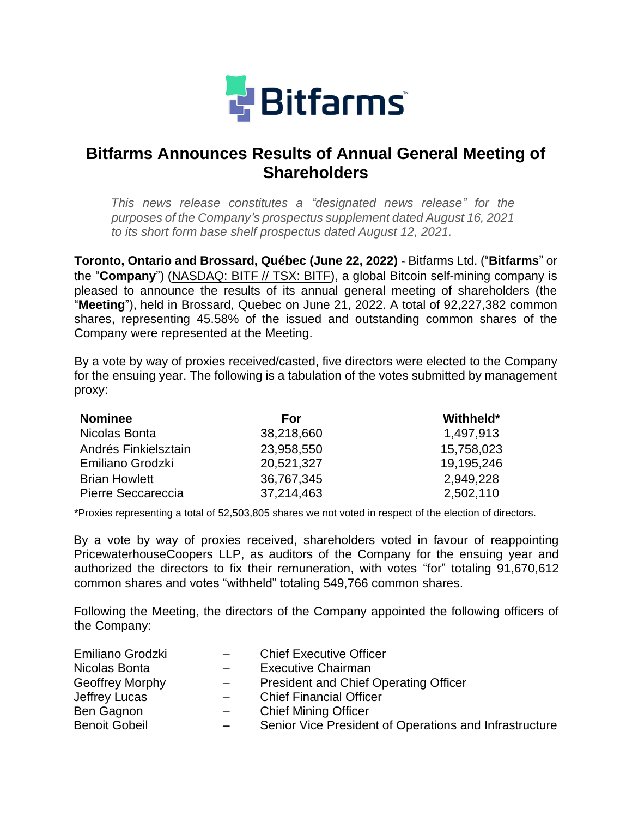

# **Bitfarms Announces Results of Annual General Meeting of Shareholders**

*This news release constitutes a "designated news release" for the purposes of the Company's prospectus supplement dated August 16, 2021 to its short form base shelf prospectus dated August 12, 2021.*

**Toronto, Ontario and Brossard, Québec (June 22, 2022)** - [Bitfarms Ltd.](https://cts.businesswire.com/ct/CT?id=smartlink&url=https%3A%2F%2Fbitfarms.com%2F&esheet=52352512&newsitemid=20201222005172&lan=en-US&anchor=Bitfarms+Ltd.&index=1&md5=4e2b5a37e06e1e60e5ebf2e5b16a4b57) ("**Bitfarms**" or the "**Company**") (NASDAQ: BITF // TSX: BITF), a global Bitcoin self-mining company is pleased to announce the results of its annual general meeting of shareholders (the "**Meeting**"), held in Brossard, Quebec on June 21, 2022. A total of 92,227,382 common shares, representing 45.58% of the issued and outstanding common shares of the Company were represented at the Meeting.

By a vote by way of proxies received/casted, five directors were elected to the Company for the ensuing year. The following is a tabulation of the votes submitted by management proxy:

| <b>Nominee</b>       | For        | Withheld*  |
|----------------------|------------|------------|
| Nicolas Bonta        | 38,218,660 | 1,497,913  |
| Andrés Finkielsztain | 23,958,550 | 15,758,023 |
| Emiliano Grodzki     | 20,521,327 | 19,195,246 |
| <b>Brian Howlett</b> | 36,767,345 | 2,949,228  |
| Pierre Seccareccia   | 37,214,463 | 2,502,110  |

\*Proxies representing a total of 52,503,805 shares we not voted in respect of the election of directors.

By a vote by way of proxies received, shareholders voted in favour of reappointing PricewaterhouseCoopers LLP, as auditors of the Company for the ensuing year and authorized the directors to fix their remuneration, with votes "for" totaling 91,670,612 common shares and votes "withheld" totaling 549,766 common shares.

Following the Meeting, the directors of the Company appointed the following officers of the Company:

| Emiliano Grodzki     | $-$                      | <b>Chief Executive Officer</b>                         |
|----------------------|--------------------------|--------------------------------------------------------|
| Nicolas Bonta        | $\overline{\phantom{0}}$ | <b>Executive Chairman</b>                              |
| Geoffrey Morphy      | $-$                      | <b>President and Chief Operating Officer</b>           |
| Jeffrey Lucas        |                          | <b>Chief Financial Officer</b>                         |
| Ben Gagnon           | $ \,$                    | <b>Chief Mining Officer</b>                            |
| <b>Benoit Gobeil</b> | $\overline{\phantom{0}}$ | Senior Vice President of Operations and Infrastructure |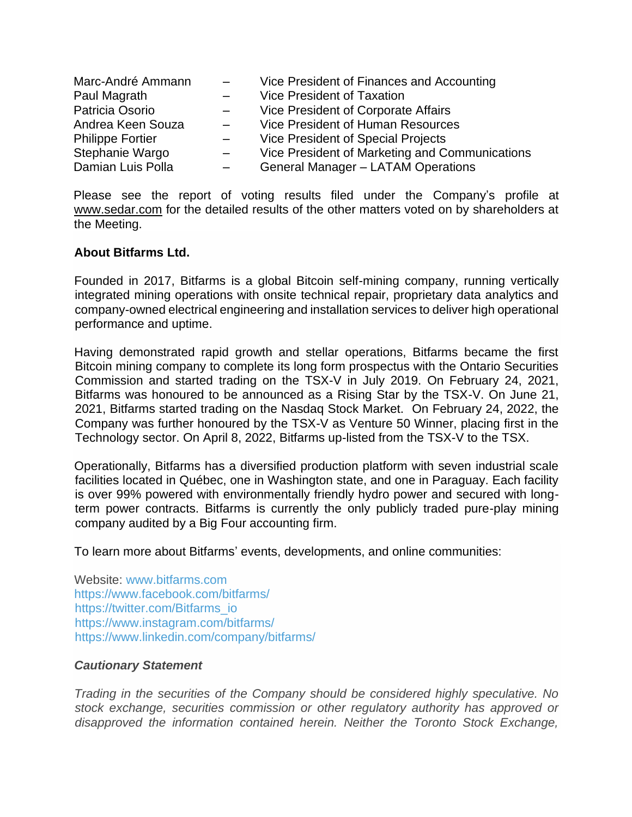| Marc-André Ammann       | $\sim$                   | Vice President of Finances and Accounting      |
|-------------------------|--------------------------|------------------------------------------------|
| Paul Magrath            |                          | Vice President of Taxation                     |
| Patricia Osorio         | $-$                      | Vice President of Corporate Affairs            |
| Andrea Keen Souza       | $\overline{\phantom{0}}$ | Vice President of Human Resources              |
| <b>Philippe Fortier</b> |                          | Vice President of Special Projects             |
| Stephanie Wargo         | $\equiv$                 | Vice President of Marketing and Communications |
| Damian Luis Polla       |                          | <b>General Manager - LATAM Operations</b>      |

Please see the report of voting results filed under the Company's profile at [www.sedar.com](http://www.sedar.com/) for the detailed results of the other matters voted on by shareholders at the Meeting.

### **About Bitfarms Ltd.**

Founded in 2017, Bitfarms is a global Bitcoin self-mining company, running vertically integrated mining operations with onsite technical repair, proprietary data analytics and company-owned electrical engineering and installation services to deliver high operational performance and uptime.

Having demonstrated rapid growth and stellar operations, Bitfarms became the first Bitcoin mining company to complete its long form prospectus with the Ontario Securities Commission and started trading on the TSX-V in July 2019. On February 24, 2021, Bitfarms was honoured to be announced as a Rising Star by the TSX-V. On June 21, 2021, Bitfarms started trading on the Nasdaq Stock Market. On February 24, 2022, the Company was further honoured by the TSX-V as Venture 50 Winner, placing first in the Technology sector. On April 8, 2022, Bitfarms up-listed from the TSX-V to the TSX.

Operationally, Bitfarms has a diversified production platform with seven industrial scale facilities located in Québec, one in Washington state, and one in Paraguay. Each facility is over 99% powered with environmentally friendly hydro power and secured with longterm power contracts. Bitfarms is currently the only publicly traded pure-play mining company audited by a Big Four accounting firm.

To learn more about Bitfarms' events, developments, and online communities:

Website: [www.bitfarms.com](https://cts.businesswire.com/ct/CT?id=smartlink&url=http%3A%2F%2Fwww.bitfarms.com&esheet=52352512&newsitemid=20201222005172&lan=en-US&anchor=www.bitfarms.com&index=2&md5=8a9d4e770ff4a5696a36ad864bb10f7e) [https://www.facebook.com/bitfarms/](https://cts.businesswire.com/ct/CT?id=smartlink&url=https%3A%2F%2Fwww.facebook.com%2Fbitfarms%2F&esheet=52352512&newsitemid=20201222005172&lan=en-US&anchor=https%3A%2F%2Fwww.facebook.com%2Fbitfarms%2F&index=3&md5=b6e44e25b52add15c33e867ef844a87f) [https://twitter.com/Bitfarms\\_io](https://cts.businesswire.com/ct/CT?id=smartlink&url=https%3A%2F%2Ftwitter.com%2FBitfarms_io&esheet=52352512&newsitemid=20201222005172&lan=en-US&anchor=https%3A%2F%2Ftwitter.com%2FBitfarms_io&index=4&md5=ea5504adaee0d8d42bb82da141578a4c) [https://www.instagram.com/bitfarms/](https://cts.businesswire.com/ct/CT?id=smartlink&url=https%3A%2F%2Fwww.instagram.com%2Fbitfarms%2F&esheet=52352512&newsitemid=20201222005172&lan=en-US&anchor=https%3A%2F%2Fwww.instagram.com%2Fbitfarms%2F&index=5&md5=c23e35264dd3b32f731404db5d27ba13) [https://www.linkedin.com/company/bitfarms/](https://cts.businesswire.com/ct/CT?id=smartlink&url=https%3A%2F%2Fwww.linkedin.com%2Fcompany%2Fbitfarms%2F&esheet=52352512&newsitemid=20201222005172&lan=en-US&anchor=https%3A%2F%2Fwww.linkedin.com%2Fcompany%2Fbitfarms%2F&index=6&md5=b1358cccd49bdc78b84622ab953c638b)

### *Cautionary Statement*

*Trading in the securities of the Company should be considered highly speculative. No stock exchange, securities commission or other regulatory authority has approved or disapproved the information contained herein. Neither the Toronto Stock Exchange,*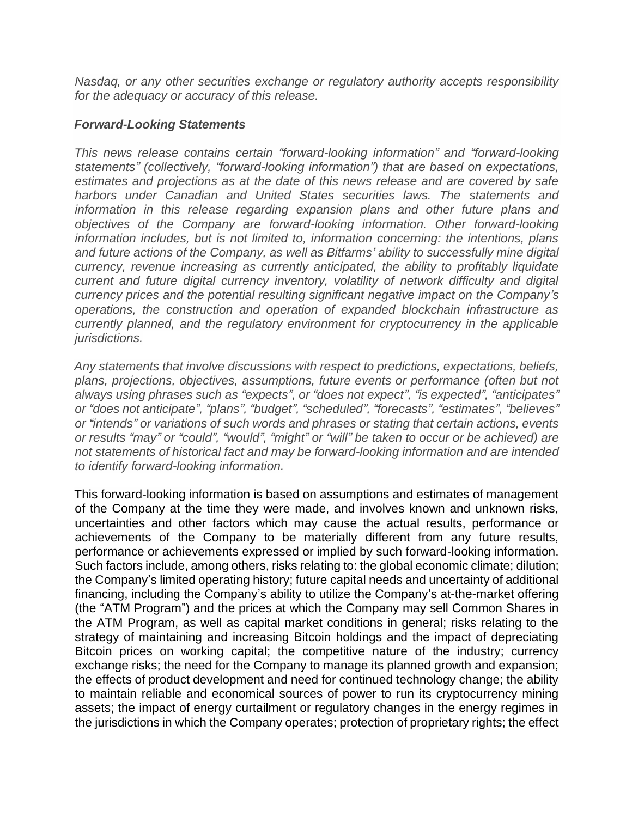*Nasdaq, or any other securities exchange or regulatory authority accepts responsibility for the adequacy or accuracy of this release.*

#### *Forward-Looking Statements*

*This news release contains certain "forward-looking information" and "forward-looking statements" (collectively, "forward-looking information") that are based on expectations,*  estimates and projections as at the date of this news release and are covered by safe *harbors under Canadian and United States securities laws. The statements and information in this release regarding expansion plans and other future plans and objectives of the Company are forward-looking information. Other forward-looking information includes, but is not limited to, information concerning: the intentions, plans and future actions of the Company, as well as Bitfarms' ability to successfully mine digital currency, revenue increasing as currently anticipated, the ability to profitably liquidate current and future digital currency inventory, volatility of network difficulty and digital currency prices and the potential resulting significant negative impact on the Company's operations, the construction and operation of expanded blockchain infrastructure as currently planned, and the regulatory environment for cryptocurrency in the applicable jurisdictions.*

*Any statements that involve discussions with respect to predictions, expectations, beliefs, plans, projections, objectives, assumptions, future events or performance (often but not always using phrases such as "expects", or "does not expect", "is expected", "anticipates" or "does not anticipate", "plans", "budget", "scheduled", "forecasts", "estimates", "believes" or "intends" or variations of such words and phrases or stating that certain actions, events or results "may" or "could", "would", "might" or "will" be taken to occur or be achieved) are not statements of historical fact and may be forward-looking information and are intended to identify forward-looking information.*

This forward-looking information is based on assumptions and estimates of management of the Company at the time they were made, and involves known and unknown risks, uncertainties and other factors which may cause the actual results, performance or achievements of the Company to be materially different from any future results, performance or achievements expressed or implied by such forward-looking information. Such factors include, among others, risks relating to: the global economic climate; dilution; the Company's limited operating history; future capital needs and uncertainty of additional financing, including the Company's ability to utilize the Company's at-the-market offering (the "ATM Program") and the prices at which the Company may sell Common Shares in the ATM Program, as well as capital market conditions in general; risks relating to the strategy of maintaining and increasing Bitcoin holdings and the impact of depreciating Bitcoin prices on working capital; the competitive nature of the industry; currency exchange risks; the need for the Company to manage its planned growth and expansion; the effects of product development and need for continued technology change; the ability to maintain reliable and economical sources of power to run its cryptocurrency mining assets; the impact of energy curtailment or regulatory changes in the energy regimes in the jurisdictions in which the Company operates; protection of proprietary rights; the effect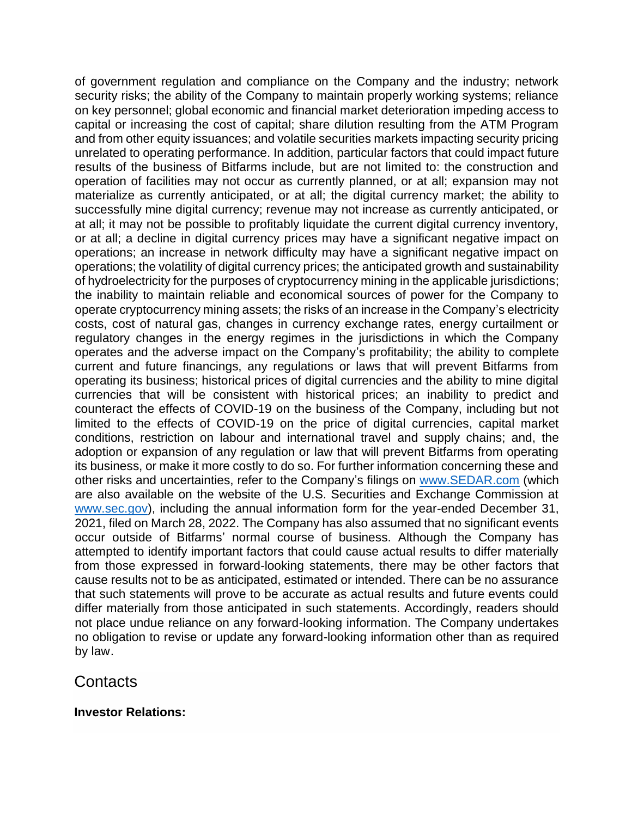of government regulation and compliance on the Company and the industry; network security risks; the ability of the Company to maintain properly working systems; reliance on key personnel; global economic and financial market deterioration impeding access to capital or increasing the cost of capital; share dilution resulting from the ATM Program and from other equity issuances; and volatile securities markets impacting security pricing unrelated to operating performance. In addition, particular factors that could impact future results of the business of Bitfarms include, but are not limited to: the construction and operation of facilities may not occur as currently planned, or at all; expansion may not materialize as currently anticipated, or at all; the digital currency market; the ability to successfully mine digital currency; revenue may not increase as currently anticipated, or at all; it may not be possible to profitably liquidate the current digital currency inventory, or at all; a decline in digital currency prices may have a significant negative impact on operations; an increase in network difficulty may have a significant negative impact on operations; the volatility of digital currency prices; the anticipated growth and sustainability of hydroelectricity for the purposes of cryptocurrency mining in the applicable jurisdictions; the inability to maintain reliable and economical sources of power for the Company to operate cryptocurrency mining assets; the risks of an increase in the Company's electricity costs, cost of natural gas, changes in currency exchange rates, energy curtailment or regulatory changes in the energy regimes in the jurisdictions in which the Company operates and the adverse impact on the Company's profitability; the ability to complete current and future financings, any regulations or laws that will prevent Bitfarms from operating its business; historical prices of digital currencies and the ability to mine digital currencies that will be consistent with historical prices; an inability to predict and counteract the effects of COVID-19 on the business of the Company, including but not limited to the effects of COVID-19 on the price of digital currencies, capital market conditions, restriction on labour and international travel and supply chains; and, the adoption or expansion of any regulation or law that will prevent Bitfarms from operating its business, or make it more costly to do so. For further information concerning these and other risks and uncertainties, refer to the Company's filings on [www.SEDAR.com](http://www.sedar.com/) (which are also available on the website of the U.S. Securities and Exchange Commission at [www.sec.gov\)](http://www.sec.gov/), including the annual information form for the year-ended December 31, 2021, filed on March 28, 2022. The Company has also assumed that no significant events occur outside of Bitfarms' normal course of business. Although the Company has attempted to identify important factors that could cause actual results to differ materially from those expressed in forward-looking statements, there may be other factors that cause results not to be as anticipated, estimated or intended. There can be no assurance that such statements will prove to be accurate as actual results and future events could differ materially from those anticipated in such statements. Accordingly, readers should not place undue reliance on any forward-looking information. The Company undertakes no obligation to revise or update any forward-looking information other than as required by law.

## **Contacts**

### **Investor Relations:**